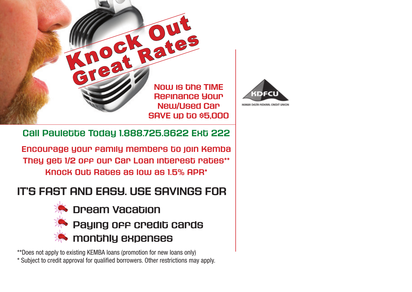



**Call Paulette Today 1.888.725.3622 Ext 222**

**Encourage your family members to join Kemba They get 1/2 off our Car Loan interest rates\*\* Knock Out Rates as low as 1.5% APR\***

#### **IT'S FAST AND EASY. USE SAVINGS FOR**



\*\*Does not apply to existing KEMBA loans (promotion for new loans only) \* Subject to credit approval for qualified borrowers. Other restrictions may apply.